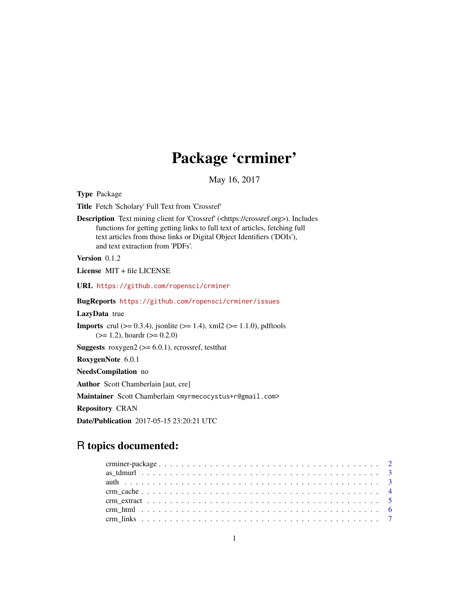## Package 'crminer'

May 16, 2017

<span id="page-0-0"></span>Type Package

Title Fetch 'Scholary' Full Text from 'Crossref'

Description Text mining client for 'Crossref' (<https://crossref.org>). Includes functions for getting getting links to full text of articles, fetching full text articles from those links or Digital Object Identifiers ('DOIs'), and text extraction from 'PDFs'.

Version 0.1.2

License MIT + file LICENSE

URL <https://github.com/ropensci/crminer>

BugReports <https://github.com/ropensci/crminer/issues>

LazyData true

**Imports** crul ( $> = 0.3.4$ ), jsonlite ( $> = 1.4$ ), xml2 ( $> = 1.1.0$ ), pdftools  $(>= 1.2)$ , hoardr  $(>= 0.2.0)$ 

**Suggests** roxygen2 ( $>= 6.0.1$ ), rcrossref, testthat

RoxygenNote 6.0.1

NeedsCompilation no

Author Scott Chamberlain [aut, cre]

Maintainer Scott Chamberlain <myrmecocystus+r@gmail.com>

Repository CRAN

Date/Publication 2017-05-15 23:20:21 UTC

### R topics documented: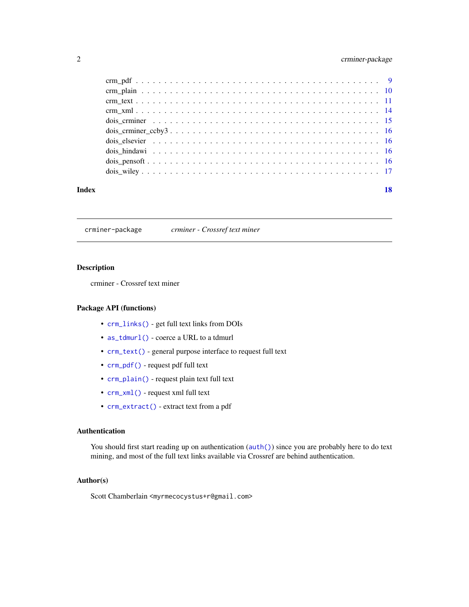#### <span id="page-1-0"></span>2 crminer-package

| Index | 18 |
|-------|----|
|       |    |
|       |    |
|       |    |
|       |    |
|       |    |
|       |    |
|       |    |
|       |    |
|       |    |
|       |    |

crminer-package *crminer - Crossref text miner*

#### Description

crminer - Crossref text miner

#### Package API (functions)

- [crm\\_links\(\)](#page-6-1) get full text links from DOIs
- [as\\_tdmurl\(\)](#page-2-1) coerce a URL to a tdmurl
- [crm\\_text\(\)](#page-10-1) general purpose interface to request full text
- [crm\\_pdf\(\)](#page-8-1) request pdf full text
- [crm\\_plain\(\)](#page-9-1) request plain text full text
- [crm\\_xml\(\)](#page-13-1) request xml full text
- [crm\\_extract\(\)](#page-4-1) extract text from a pdf

#### Authentication

You should first start reading up on authentication ( $auth()$ ) since you are probably here to do text mining, and most of the full text links available via Crossref are behind authentication.

#### Author(s)

Scott Chamberlain <myrmecocystus+r@gmail.com>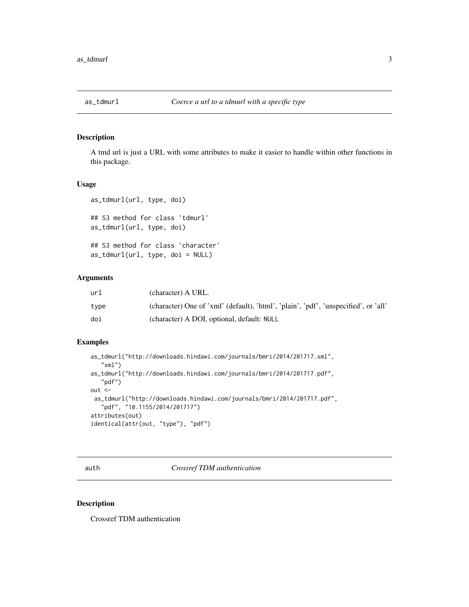<span id="page-2-1"></span><span id="page-2-0"></span>

#### Description

A tmd url is just a URL with some attributes to make it easier to handle within other functions in this package.

#### Usage

```
as_tdmurl(url, type, doi)
## S3 method for class 'tdmurl'
as_tdmurl(url, type, doi)
## S3 method for class 'character'
as_tdmurl(url, type, doi = NULL)
```
#### Arguments

| url  | (character) A URL.                                                                  |
|------|-------------------------------------------------------------------------------------|
| type | (character) One of 'xml' (default), 'html', 'plain', 'pdf', 'unspecified', or 'all' |
| doi  | (character) A DOI, optional, default: NULL                                          |

#### Examples

```
as_tdmurl("http://downloads.hindawi.com/journals/bmri/2014/201717.xml",
   "xml")
as_tdmurl("http://downloads.hindawi.com/journals/bmri/2014/201717.pdf",
   "pdf")
out <-
 as_tdmurl("http://downloads.hindawi.com/journals/bmri/2014/201717.pdf",
   "pdf", "10.1155/2014/201717")
attributes(out)
identical(attr(out, "type"), "pdf")
```
<span id="page-2-2"></span>auth *Crossref TDM authentication*

#### Description

Crossref TDM authentication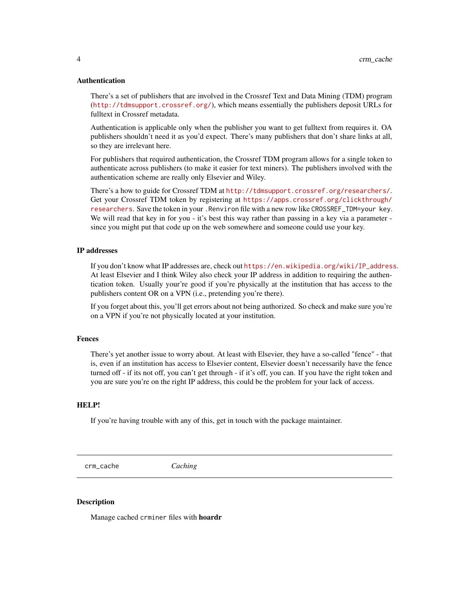#### <span id="page-3-0"></span>Authentication

There's a set of publishers that are involved in the Crossref Text and Data Mining (TDM) program (<http://tdmsupport.crossref.org/>), which means essentially the publishers deposit URLs for fulltext in Crossref metadata.

Authentication is applicable only when the publisher you want to get fulltext from requires it. OA publishers shouldn't need it as you'd expect. There's many publishers that don't share links at all, so they are irrelevant here.

For publishers that required authentication, the Crossref TDM program allows for a single token to authenticate across publishers (to make it easier for text miners). The publishers involved with the authentication scheme are really only Elsevier and Wiley.

There's a how to guide for Crossref TDM at <http://tdmsupport.crossref.org/researchers/>. Get your Crossref TDM token by registering at [https://apps.crossref.org/clickthrough/](https://apps.crossref.org/clickthrough/researchers) [researchers](https://apps.crossref.org/clickthrough/researchers). Save the token in your .Renviron file with a new row like CROSSREF\_TDM=your key. We will read that key in for you - it's best this way rather than passing in a key via a parameter since you might put that code up on the web somewhere and someone could use your key.

#### IP addresses

If you don't know what IP addresses are, check out [https://en.wikipedia.org/wiki/IP\\_address](https://en.wikipedia.org/wiki/IP_address). At least Elsevier and I think Wiley also check your IP address in addition to requiring the authentication token. Usually your're good if you're physically at the institution that has access to the publishers content OR on a VPN (i.e., pretending you're there).

If you forget about this, you'll get errors about not being authorized. So check and make sure you're on a VPN if you're not physically located at your institution.

#### Fences

There's yet another issue to worry about. At least with Elsevier, they have a so-called "fence" - that is, even if an institution has access to Elsevier content, Elsevier doesn't necessarily have the fence turned off - if its not off, you can't get through - if it's off, you can. If you have the right token and you are sure you're on the right IP address, this could be the problem for your lack of access.

#### HELP!

If you're having trouble with any of this, get in touch with the package maintainer.

<span id="page-3-1"></span>crm\_cache *Caching*

#### Description

Manage cached crminer files with hoardr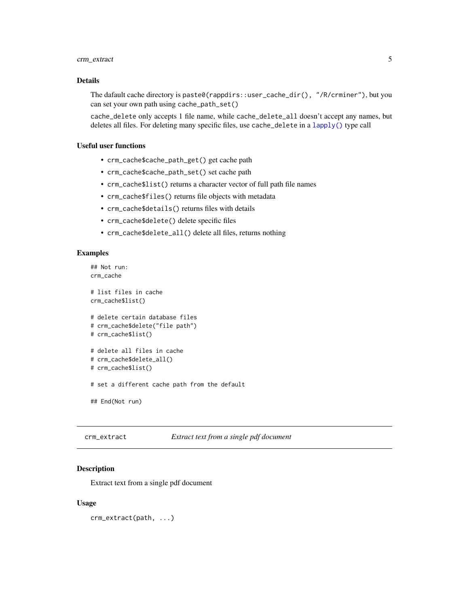#### <span id="page-4-0"></span>crm\_extract 5

#### Details

The dafault cache directory is paste0(rappdirs::user\_cache\_dir(), "/R/crminer"), but you can set your own path using cache\_path\_set()

cache\_delete only accepts 1 file name, while cache\_delete\_all doesn't accept any names, but deletes all files. For deleting many specific files, use cache\_delete in a [lapply\(\)](#page-0-0) type call

#### Useful user functions

- crm\_cache\$cache\_path\_get() get cache path
- crm\_cache\$cache\_path\_set() set cache path
- crm\_cache\$list() returns a character vector of full path file names
- crm\_cache\$files() returns file objects with metadata
- crm\_cache\$details() returns files with details
- crm\_cache\$delete() delete specific files
- crm\_cache\$delete\_all() delete all files, returns nothing

#### Examples

```
## Not run:
crm_cache
# list files in cache
crm_cache$list()
# delete certain database files
# crm_cache$delete("file path")
# crm_cache$list()
# delete all files in cache
# crm_cache$delete_all()
# crm_cache$list()
# set a different cache path from the default
## End(Not run)
```
<span id="page-4-1"></span>crm\_extract *Extract text from a single pdf document*

#### Description

Extract text from a single pdf document

#### Usage

crm\_extract(path, ...)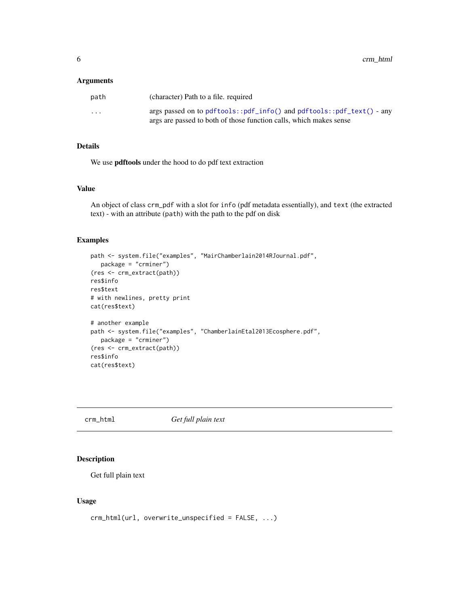#### <span id="page-5-0"></span>Arguments

| path     | (character) Path to a file. required                                                                                                            |
|----------|-------------------------------------------------------------------------------------------------------------------------------------------------|
| $\cdots$ | args passed on to $pdftools::pdf_info()$ and $pdftools::pdf_test()$ - any<br>args are passed to both of those function calls, which makes sense |

#### Details

We use pdftools under the hood to do pdf text extraction

#### Value

An object of class crm\_pdf with a slot for info (pdf metadata essentially), and text (the extracted text) - with an attribute (path) with the path to the pdf on disk

#### Examples

```
path <- system.file("examples", "MairChamberlain2014RJournal.pdf",
  package = "crminer")
(res <- crm_extract(path))
res$info
res$text
# with newlines, pretty print
cat(res$text)
# another example
path <- system.file("examples", "ChamberlainEtal2013Ecosphere.pdf",
  package = "crminer")
(res <- crm_extract(path))
res$info
cat(res$text)
```
crm\_html *Get full plain text*

#### Description

Get full plain text

#### Usage

```
crm_html(url, overwrite_unspecified = FALSE, ...)
```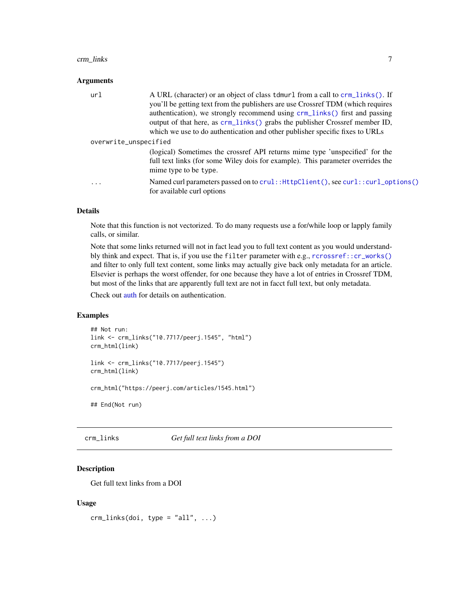#### <span id="page-6-0"></span>crm\_links 7

#### **Arguments**

| ur1                   | A URL (character) or an object of class tdmurl from a call to crm_links(). If<br>you'll be getting text from the publishers are use Crossref TDM (which requires<br>authentication), we strongly recommend using crm_links() first and passing<br>output of that here, as crm_links() grabs the publisher Crossref member ID,<br>which we use to do authentication and other publisher specific fixes to URLs |
|-----------------------|---------------------------------------------------------------------------------------------------------------------------------------------------------------------------------------------------------------------------------------------------------------------------------------------------------------------------------------------------------------------------------------------------------------|
| overwrite_unspecified |                                                                                                                                                                                                                                                                                                                                                                                                               |
|                       | (logical) Sometimes the crossref API returns mime type 'unspecified' for the<br>full text links (for some Wiley dois for example). This parameter overrides the<br>mime type to be type.                                                                                                                                                                                                                      |
| .                     | Named curl parameters passed on to crul:: HttpClient(), see curl:: curl_options()<br>for available curl options                                                                                                                                                                                                                                                                                               |

#### Details

Note that this function is not vectorized. To do many requests use a for/while loop or lapply family calls, or similar.

Note that some links returned will not in fact lead you to full text content as you would understandbly think and expect. That is, if you use the filter parameter with e.g., [rcrossref::cr\\_works\(\)](#page-0-0) and filter to only full text content, some links may actually give back only metadata for an article. Elsevier is perhaps the worst offender, for one because they have a lot of entries in Crossref TDM, but most of the links that are apparently full text are not in facct full text, but only metadata.

Check out [auth](#page-2-2) for details on authentication.

#### Examples

```
## Not run:
link <- crm_links("10.7717/peerj.1545", "html")
crm_html(link)
```

```
link <- crm_links("10.7717/peerj.1545")
crm_html(link)
```
crm\_html("https://peerj.com/articles/1545.html")

## End(Not run)

<span id="page-6-1"></span>crm\_links *Get full text links from a DOI*

#### Description

Get full text links from a DOI

#### Usage

crm\_links(doi, type = "all", ...)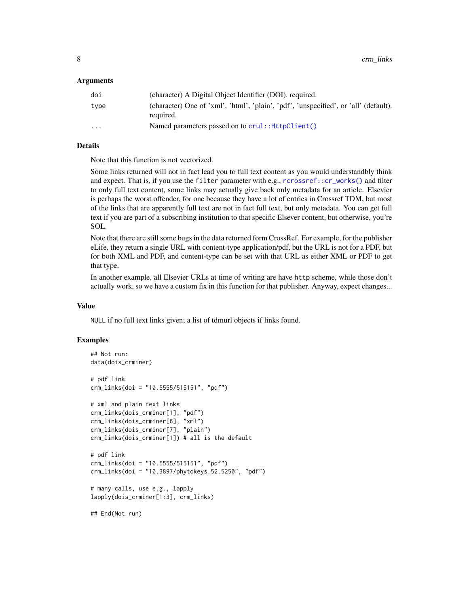#### Arguments

| doi     | (character) A Digital Object Identifier (DOI). required.                                          |
|---------|---------------------------------------------------------------------------------------------------|
| type    | (character) One of 'xml', 'html', 'plain', 'pdf', 'unspecified', or 'all' (default).<br>required. |
| $\cdot$ | Named parameters passed on to crul:: HttpClient()                                                 |

#### Details

Note that this function is not vectorized.

Some links returned will not in fact lead you to full text content as you would understandbly think and expect. That is, if you use the filter parameter with e.g., [rcrossref::cr\\_works\(\)](#page-0-0) and filter to only full text content, some links may actually give back only metadata for an article. Elsevier is perhaps the worst offender, for one because they have a lot of entries in Crossref TDM, but most of the links that are apparently full text are not in fact full text, but only metadata. You can get full text if you are part of a subscribing institution to that specific Elsever content, but otherwise, you're SOL.

Note that there are still some bugs in the data returned form CrossRef. For example, for the publisher eLife, they return a single URL with content-type application/pdf, but the URL is not for a PDF, but for both XML and PDF, and content-type can be set with that URL as either XML or PDF to get that type.

In another example, all Elsevier URLs at time of writing are have http scheme, while those don't actually work, so we have a custom fix in this function for that publisher. Anyway, expect changes...

#### Value

NULL if no full text links given; a list of tdmurl objects if links found.

#### Examples

```
## Not run:
data(dois_crminer)
# pdf link
crm_links(doi = "10.5555/515151", "pdf")
# xml and plain text links
crm_links(dois_crminer[1], "pdf")
crm_links(dois_crminer[6], "xml")
crm_links(dois_crminer[7], "plain")
crm_links(dois_crminer[1]) # all is the default
# pdf link
crm_links(doi = "10.5555/515151", "pdf")
crm_links(doi = "10.3897/phytokeys.52.5250", "pdf")
# many calls, use e.g., lapply
lapply(dois_crminer[1:3], crm_links)
```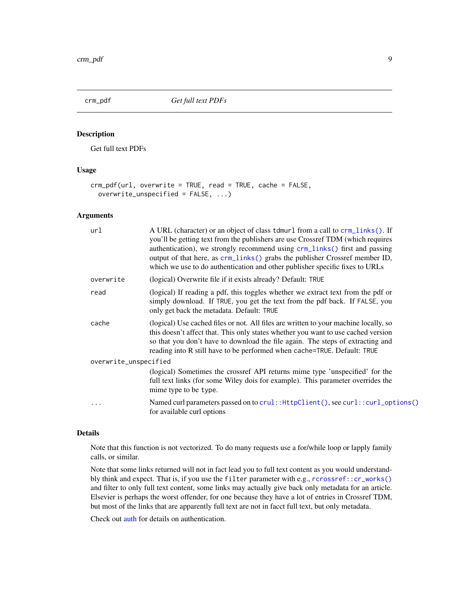<span id="page-8-1"></span><span id="page-8-0"></span>

#### Description

Get full text PDFs

#### Usage

```
crm_pdf(url, overwrite = TRUE, read = TRUE, cache = FALSE,
 overwrite_unspecified = FALSE, ...)
```
#### Arguments

| url                   | A URL (character) or an object of class tdmurl from a call to crm_links(). If<br>you'll be getting text from the publishers are use Crossref TDM (which requires<br>authentication), we strongly recommend using crm_links() first and passing<br>output of that here, as crm_links() grabs the publisher Crossref member ID,<br>which we use to do authentication and other publisher specific fixes to URLs |
|-----------------------|---------------------------------------------------------------------------------------------------------------------------------------------------------------------------------------------------------------------------------------------------------------------------------------------------------------------------------------------------------------------------------------------------------------|
| overwrite             | (logical) Overwrite file if it exists already? Default: TRUE                                                                                                                                                                                                                                                                                                                                                  |
| read                  | (logical) If reading a pdf, this toggles whether we extract text from the pdf or<br>simply download. If TRUE, you get the text from the pdf back. If FALSE, you<br>only get back the metadata. Default: TRUE                                                                                                                                                                                                  |
| cache                 | (logical) Use cached files or not. All files are written to your machine locally, so<br>this doesn't affect that. This only states whether you want to use cached version<br>so that you don't have to download the file again. The steps of extracting and<br>reading into R still have to be performed when cache=TRUE. Default: TRUE                                                                       |
| overwrite_unspecified |                                                                                                                                                                                                                                                                                                                                                                                                               |
|                       | (logical) Sometimes the crossref API returns mime type 'unspecified' for the<br>full text links (for some Wiley dois for example). This parameter overrides the<br>mime type to be type.                                                                                                                                                                                                                      |
| .                     | Named curl parameters passed on to crul:: HttpClient(), see curl:: curl_options()<br>for available curl options                                                                                                                                                                                                                                                                                               |

#### Details

Note that this function is not vectorized. To do many requests use a for/while loop or lapply family calls, or similar.

Note that some links returned will not in fact lead you to full text content as you would understandbly think and expect. That is, if you use the filter parameter with e.g., [rcrossref::cr\\_works\(\)](#page-0-0) and filter to only full text content, some links may actually give back only metadata for an article. Elsevier is perhaps the worst offender, for one because they have a lot of entries in Crossref TDM, but most of the links that are apparently full text are not in facct full text, but only metadata.

Check out [auth](#page-2-2) for details on authentication.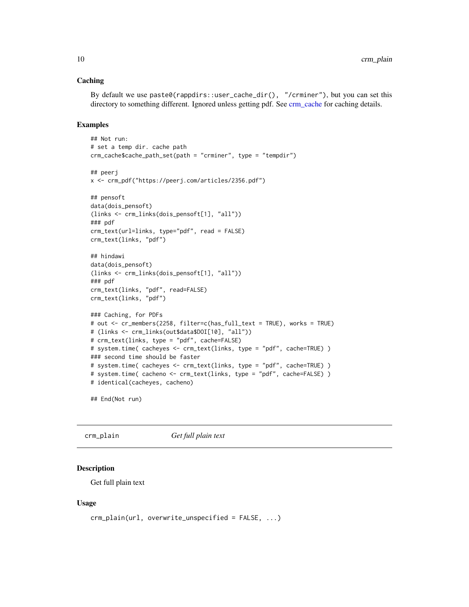#### <span id="page-9-0"></span>Caching

By default we use paste0(rappdirs::user\_cache\_dir(), "/crminer"), but you can set this directory to something different. Ignored unless getting pdf. See [crm\\_cache](#page-3-1) for caching details.

#### Examples

```
## Not run:
# set a temp dir. cache path
crm_cache$cache_path_set(path = "crminer", type = "tempdir")
## peerj
x <- crm_pdf("https://peerj.com/articles/2356.pdf")
## pensoft
data(dois_pensoft)
(links <- crm_links(dois_pensoft[1], "all"))
### pdf
crm_text(url=links, type="pdf", read = FALSE)
crm_text(links, "pdf")
## hindawi
data(dois_pensoft)
(links <- crm_links(dois_pensoft[1], "all"))
### pdf
crm_text(links, "pdf", read=FALSE)
crm_text(links, "pdf")
### Caching, for PDFs
# out <- cr_members(2258, filter=c(has_full_text = TRUE), works = TRUE)
# (links <- crm_links(out$data$DOI[10], "all"))
# crm_text(links, type = "pdf", cache=FALSE)
# system.time( cacheyes <- crm_text(links, type = "pdf", cache=TRUE) )
### second time should be faster
# system.time( cacheyes <- crm_text(links, type = "pdf", cache=TRUE) )
# system.time( cacheno <- crm_text(links, type = "pdf", cache=FALSE) )
# identical(cacheyes, cacheno)
```
## End(Not run)

<span id="page-9-1"></span>crm\_plain *Get full plain text*

#### Description

Get full plain text

#### Usage

```
crm_plain(url, overwrite_unspecified = FALSE, ...)
```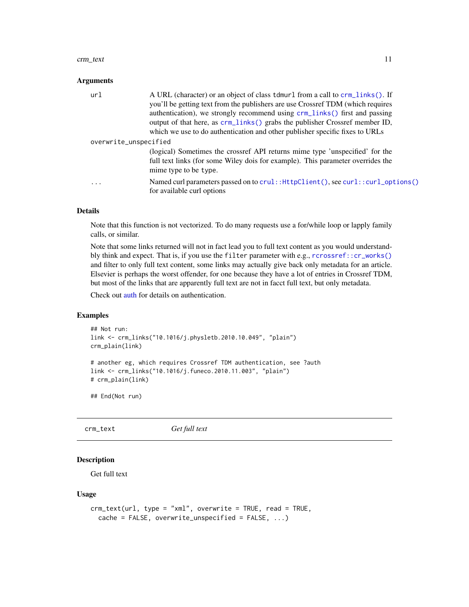#### <span id="page-10-0"></span>crm\_text 11

#### **Arguments**

| A URL (character) or an object of class tdmurl from a call to crm_links(). If                                   |
|-----------------------------------------------------------------------------------------------------------------|
| you'll be getting text from the publishers are use Crossref TDM (which requires                                 |
| authentication), we strongly recommend using crm_links() first and passing                                      |
| output of that here, as crm_links() grabs the publisher Crossref member ID,                                     |
| which we use to do authentication and other publisher specific fixes to URLs                                    |
| overwrite_unspecified                                                                                           |
| (logical) Sometimes the crossref API returns mime type 'unspecified' for the                                    |
| full text links (for some Wiley dois for example). This parameter overrides the<br>mime type to be type.        |
| Named curl parameters passed on to crul:: HttpClient(), see curl:: curl_options()<br>for available curl options |
|                                                                                                                 |

#### Details

Note that this function is not vectorized. To do many requests use a for/while loop or lapply family calls, or similar.

Note that some links returned will not in fact lead you to full text content as you would understandbly think and expect. That is, if you use the filter parameter with e.g., [rcrossref::cr\\_works\(\)](#page-0-0) and filter to only full text content, some links may actually give back only metadata for an article. Elsevier is perhaps the worst offender, for one because they have a lot of entries in Crossref TDM, but most of the links that are apparently full text are not in facct full text, but only metadata.

Check out [auth](#page-2-2) for details on authentication.

#### Examples

```
## Not run:
link <- crm_links("10.1016/j.physletb.2010.10.049", "plain")
crm_plain(link)
# another eg, which requires Crossref TDM authentication, see ?auth
```

```
link <- crm_links("10.1016/j.funeco.2010.11.003", "plain")
# crm_plain(link)
```
## End(Not run)

<span id="page-10-1"></span>crm\_text *Get full text*

#### Description

Get full text

#### Usage

```
crm_text(url, type = "xml", overwrite = TRUE, read = TRUE,
  cache = FALSE, overwrite_unspecified = FALSE, ...)
```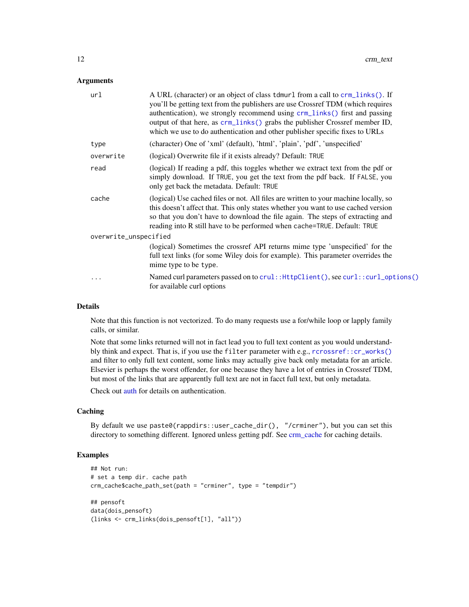#### <span id="page-11-0"></span>**Arguments**

| url                   | A URL (character) or an object of class tdmurl from a call to crm_links(). If<br>you'll be getting text from the publishers are use Crossref TDM (which requires<br>authentication), we strongly recommend using crm_links() first and passing<br>output of that here, as crm_links() grabs the publisher Crossref member ID,<br>which we use to do authentication and other publisher specific fixes to URLs |  |
|-----------------------|---------------------------------------------------------------------------------------------------------------------------------------------------------------------------------------------------------------------------------------------------------------------------------------------------------------------------------------------------------------------------------------------------------------|--|
| type                  | (character) One of 'xml' (default), 'html', 'plain', 'pdf', 'unspecified'                                                                                                                                                                                                                                                                                                                                     |  |
| overwrite             | (logical) Overwrite file if it exists already? Default: TRUE                                                                                                                                                                                                                                                                                                                                                  |  |
| read                  | (logical) If reading a pdf, this toggles whether we extract text from the pdf or<br>simply download. If TRUE, you get the text from the pdf back. If FALSE, you<br>only get back the metadata. Default: TRUE                                                                                                                                                                                                  |  |
| cache                 | (logical) Use cached files or not. All files are written to your machine locally, so<br>this doesn't affect that. This only states whether you want to use cached version<br>so that you don't have to download the file again. The steps of extracting and<br>reading into R still have to be performed when cache=TRUE. Default: TRUE                                                                       |  |
| overwrite_unspecified |                                                                                                                                                                                                                                                                                                                                                                                                               |  |
|                       | (logical) Sometimes the crossref API returns mime type 'unspecified' for the<br>full text links (for some Wiley dois for example). This parameter overrides the<br>mime type to be type.                                                                                                                                                                                                                      |  |
| .                     | Named curl parameters passed on to crul:: HttpClient(), see curl:: curl_options()<br>for available curl options                                                                                                                                                                                                                                                                                               |  |
|                       |                                                                                                                                                                                                                                                                                                                                                                                                               |  |

#### Details

Note that this function is not vectorized. To do many requests use a for/while loop or lapply family calls, or similar.

Note that some links returned will not in fact lead you to full text content as you would understandbly think and expect. That is, if you use the filter parameter with e.g., [rcrossref::cr\\_works\(\)](#page-0-0) and filter to only full text content, some links may actually give back only metadata for an article. Elsevier is perhaps the worst offender, for one because they have a lot of entries in Crossref TDM, but most of the links that are apparently full text are not in facct full text, but only metadata.

Check out [auth](#page-2-2) for details on authentication.

#### Caching

By default we use paste0(rappdirs::user\_cache\_dir(), "/crminer"), but you can set this directory to something different. Ignored unless getting pdf. See [crm\\_cache](#page-3-1) for caching details.

#### Examples

```
## Not run:
# set a temp dir. cache path
crm_cache$cache_path_set(path = "crminer", type = "tempdir")
## pensoft
data(dois_pensoft)
(links <- crm_links(dois_pensoft[1], "all"))
```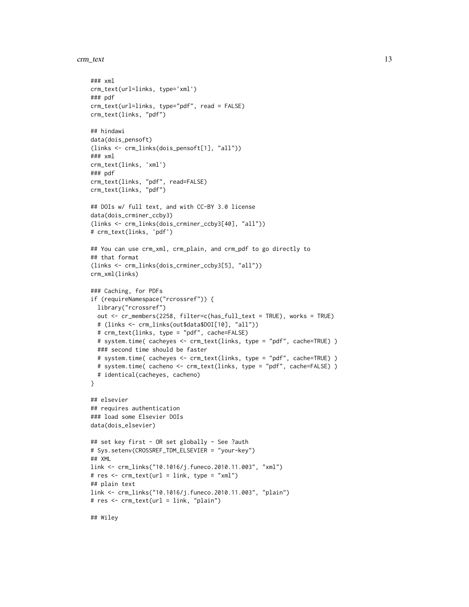```
crm_text 13
```

```
### xml
crm_text(url=links, type='xml')
### pdf
crm_text(url=links, type="pdf", read = FALSE)
crm_text(links, "pdf")
## hindawi
data(dois_pensoft)
(links <- crm_links(dois_pensoft[1], "all"))
### xml
crm_text(links, 'xml')
### pdf
crm_text(links, "pdf", read=FALSE)
crm_text(links, "pdf")
## DOIs w/ full text, and with CC-BY 3.0 license
data(dois_crminer_ccby3)
(links <- crm_links(dois_crminer_ccby3[40], "all"))
# crm_text(links, 'pdf')
## You can use crm_xml, crm_plain, and crm_pdf to go directly to
## that format
(links <- crm_links(dois_crminer_ccby3[5], "all"))
crm_xml(links)
### Caching, for PDFs
if (requireNamespace("rcrossref")) {
  library("rcrossref")
  out <- cr_members(2258, filter=c(has_full_text = TRUE), works = TRUE)
  # (links <- crm_links(out$data$DOI[10], "all"))
  # crm_text(links, type = "pdf", cache=FALSE)
  # system.time( cacheyes <- crm_text(links, type = "pdf", cache=TRUE) )
  ### second time should be faster
  # system.time( cacheyes <- crm_text(links, type = "pdf", cache=TRUE) )
  # system.time( cacheno <- crm_text(links, type = "pdf", cache=FALSE) )
  # identical(cacheyes, cacheno)
}
## elsevier
## requires authentication
### load some Elsevier DOIs
data(dois_elsevier)
## set key first - OR set globally - See ?auth
# Sys.setenv(CROSSREF_TDM_ELSEVIER = "your-key")
## XML
link <- crm_links("10.1016/j.funeco.2010.11.003", "xml")
# res <- crm_text(url = link, type = "xml")
## plain text
link <- crm_links("10.1016/j.funeco.2010.11.003", "plain")
# res <- crm_text(url = link, "plain")
## Wiley
```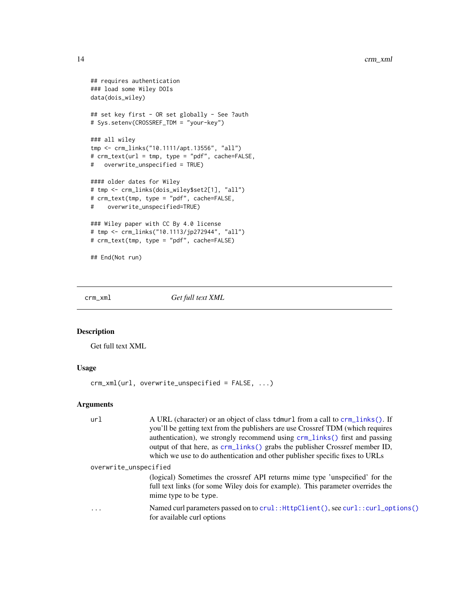```
## requires authentication
### load some Wiley DOIs
data(dois_wiley)
## set key first - OR set globally - See ?auth
# Sys.setenv(CROSSREF_TDM = "your-key")
### all wiley
tmp <- crm_links("10.1111/apt.13556", "all")
# crm_text(url = tmp, type = "pdf", cache=FALSE,
# overwrite_unspecified = TRUE)
#### older dates for Wiley
# tmp <- crm_links(dois_wiley$set2[1], "all")
# crm_text(tmp, type = "pdf", cache=FALSE,
# overwrite_unspecified=TRUE)
### Wiley paper with CC By 4.0 license
# tmp <- crm_links("10.1113/jp272944", "all")
# crm_text(tmp, type = "pdf", cache=FALSE)
## End(Not run)
```
<span id="page-13-1"></span>crm\_xml *Get full text XML*

#### Description

Get full text XML

#### Usage

crm\_xml(url, overwrite\_unspecified = FALSE, ...)

#### Arguments

| ur1                   | A URL (character) or an object of class tdmurl from a call to crm_links(). If<br>you'll be getting text from the publishers are use Crossref TDM (which requires<br>authentication), we strongly recommend using crm_links() first and passing<br>output of that here, as crm_links() grabs the publisher Crossref member ID,<br>which we use to do authentication and other publisher specific fixes to URLs |
|-----------------------|---------------------------------------------------------------------------------------------------------------------------------------------------------------------------------------------------------------------------------------------------------------------------------------------------------------------------------------------------------------------------------------------------------------|
| overwrite_unspecified |                                                                                                                                                                                                                                                                                                                                                                                                               |
|                       | (logical) Sometimes the crossref API returns mime type 'unspecified' for the<br>full text links (for some Wiley dois for example). This parameter overrides the<br>mime type to be type.                                                                                                                                                                                                                      |
| $\ddotsc$             | Named curl parameters passed on to crul:: HttpClient(), see curl:: curl_options()<br>for available curl options                                                                                                                                                                                                                                                                                               |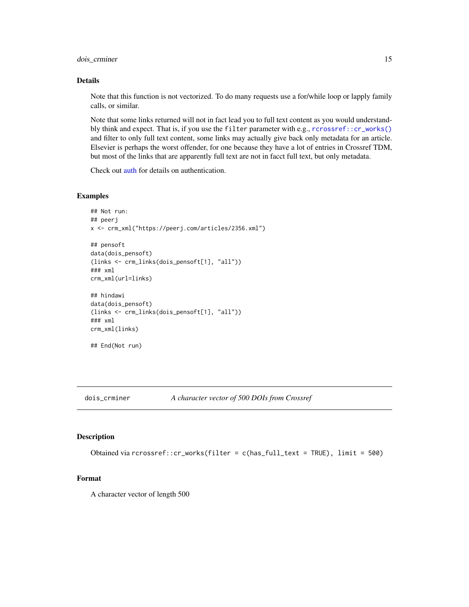<span id="page-14-0"></span>dois\_crminer 15

#### Details

Note that this function is not vectorized. To do many requests use a for/while loop or lapply family calls, or similar.

Note that some links returned will not in fact lead you to full text content as you would understandbly think and expect. That is, if you use the filter parameter with e.g., [rcrossref::cr\\_works\(\)](#page-0-0) and filter to only full text content, some links may actually give back only metadata for an article. Elsevier is perhaps the worst offender, for one because they have a lot of entries in Crossref TDM, but most of the links that are apparently full text are not in facct full text, but only metadata.

Check out [auth](#page-2-2) for details on authentication.

#### Examples

```
## Not run:
## peerj
x <- crm_xml("https://peerj.com/articles/2356.xml")
## pensoft
data(dois_pensoft)
(links <- crm_links(dois_pensoft[1], "all"))
### xml
crm_xml(url=links)
## hindawi
data(dois_pensoft)
(links <- crm_links(dois_pensoft[1], "all"))
### xml
crm_xml(links)
```

```
## End(Not run)
```
dois\_crminer *A character vector of 500 DOIs from Crossref*

#### Description

Obtained via rcrossref::cr\_works(filter = c(has\_full\_text = TRUE), limit = 500)

#### Format

A character vector of length 500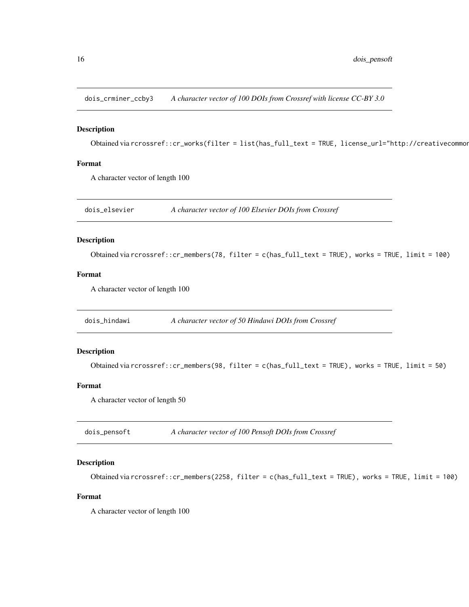<span id="page-15-0"></span>dois\_crminer\_ccby3 *A character vector of 100 DOIs from Crossref with license CC-BY 3.0*

#### Description

Obtained via rcrossref::cr\_works(filter = list(has\_full\_text = TRUE, license\_url="http://creativecommon

#### Format

A character vector of length 100

dois\_elsevier *A character vector of 100 Elsevier DOIs from Crossref*

#### Description

Obtained via rcrossref::cr\_members(78, filter = c(has\_full\_text = TRUE), works = TRUE, limit = 100)

#### Format

A character vector of length 100

dois\_hindawi *A character vector of 50 Hindawi DOIs from Crossref*

#### Description

```
Obtained via rcrossref::cr_members(98, filter = c(has_full_text = TRUE), works = TRUE, limit = 50)
```
#### Format

A character vector of length 50

dois\_pensoft *A character vector of 100 Pensoft DOIs from Crossref*

#### Description

Obtained via rcrossref::cr\_members(2258, filter = c(has\_full\_text = TRUE), works = TRUE, limit = 100)

#### Format

A character vector of length 100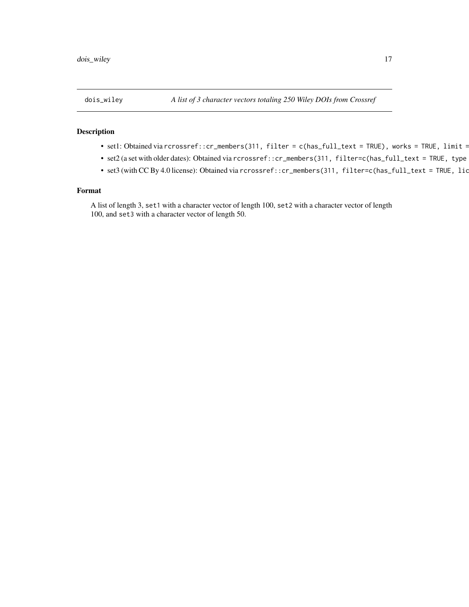#### <span id="page-16-0"></span>Description

- set1: Obtained via rcrossref::cr\_members(311, filter = c(has\_full\_text = TRUE), works = TRUE, limit = 100)
- set2 (a set with older dates): Obtained via rcrossref::cr\_members(311, filter=c(has\_full\_text = TRUE, type
- $\bullet$  set3 (with CC By 4.0 license): Obtained via rcrossref::cr\_members(311, filter=c(has\_full\_text = TRUE, lic

#### Format

A list of length 3, set1 with a character vector of length 100, set2 with a character vector of length 100, and set3 with a character vector of length 50.